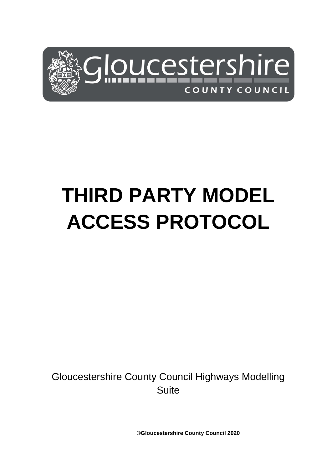

# **THIRD PARTY MODEL ACCESS PROTOCOL**

Gloucestershire County Council Highways Modelling Suite

**©Gloucestershire County Council 2020**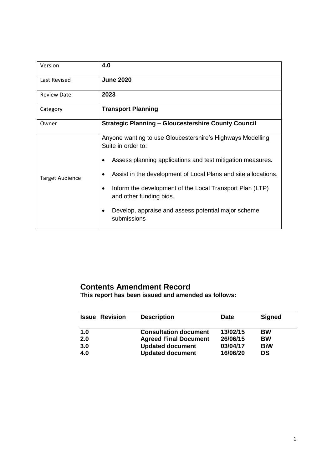| Version                | 4.0                                                                                 |  |  |
|------------------------|-------------------------------------------------------------------------------------|--|--|
| Last Revised           | <b>June 2020</b>                                                                    |  |  |
| <b>Review Date</b>     | 2023                                                                                |  |  |
| Category               | <b>Transport Planning</b>                                                           |  |  |
| Owner                  | <b>Strategic Planning - Gloucestershire County Council</b>                          |  |  |
| <b>Target Audience</b> | Anyone wanting to use Gloucestershire's Highways Modelling<br>Suite in order to:    |  |  |
|                        | Assess planning applications and test mitigation measures.<br>$\bullet$             |  |  |
|                        | Assist in the development of Local Plans and site allocations.                      |  |  |
|                        | Inform the development of the Local Transport Plan (LTP)<br>and other funding bids. |  |  |
|                        | Develop, appraise and assess potential major scheme<br>submissions                  |  |  |

# **Contents Amendment Record**

**This report has been issued and amended as follows:**

| <b>Issue Revision</b> | <b>Description</b>           | <b>Date</b> | <b>Signed</b> |
|-----------------------|------------------------------|-------------|---------------|
| 1.0                   | <b>Consultation document</b> | 13/02/15    | <b>BW</b>     |
| 2.0                   | <b>Agreed Final Document</b> | 26/06/15    | <b>BW</b>     |
| 3.0                   | <b>Updated document</b>      | 03/04/17    | <b>BiW</b>    |
| 4.0                   | <b>Updated document</b>      | 16/06/20    | <b>DS</b>     |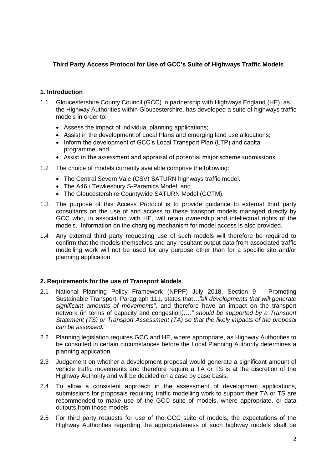# **Third Party Access Protocol for Use of GCC's Suite of Highways Traffic Models**

# **1. Introduction**

- 1.1 Gloucestershire County Council (GCC) in partnership with Highways England (HE), as the Highway Authorities within Gloucestershire, has developed a suite of highways traffic models in order to:
	- Assess the impact of individual planning applications;
	- Assist in the development of Local Plans and emerging land use allocations;
	- Inform the development of GCC's Local Transport Plan (LTP) and capital programme; and
	- Assist in the assessment and appraisal of potential major scheme submissions.
- 1.2 The choice of models currently available comprise the following:
	- The Central Severn Vale (CSV) SATURN highways traffic model.
	- The A46 / Tewkesbury S-Paramics Model, and.
	- The Gloucestershire Countywide SATURN Model (GCTM).
- 1.3 The purpose of this Access Protocol is to provide guidance to external third party consultants on the use of and access to these transport models managed directly by GCC who, in association with HE, will retain ownership and intellectual rights of the models. Information on the charging mechanism for model access is also provided.
- 1.4 Any external third party requesting use of such models will therefore be required to confirm that the models themselves and any resultant output data from associated traffic modelling work will not be used for any purpose other than for a specific site and/or planning application.

# **2. Requirements for the use of Transport Models**

- 2.1 National Planning Policy Framework (NPPF) July 2018, Section 9 Promoting Sustainable Transport, Paragraph 111, states that*…"all developments that will generate significant amounts of movements"*, and therefore have an impact on the transport network (in terms of capacity and congestion*),…" should be supported by a Transport Statement (TS) or Transport Assessment (TA) so that the likely impacts of the proposal can be assessed."*
- 2.2 Planning legislation requires GCC and HE, where appropriate, as Highway Authorities to be consulted in certain circumstances before the Local Planning Authority determines a planning application.
- 2.3 Judgement on whether a development proposal would generate a significant amount of vehicle traffic movements and therefore require a TA or TS is at the discretion of the Highway Authority and will be decided on a case by case basis.
- 2.4 To allow a consistent approach in the assessment of development applications, submissions for proposals requiring traffic modelling work to support their TA or TS are recommended to make use of the GCC suite of models, where appropriate, or data outputs from those models.
- 2.5 For third party requests for use of the GCC suite of models, the expectations of the Highway Authorities regarding the appropriateness of such highway models shall be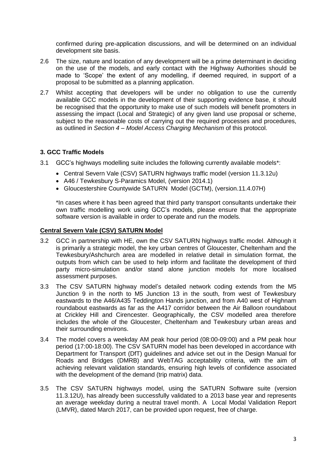confirmed during pre-application discussions, and will be determined on an individual development site basis.

- 2.6 The size, nature and location of any development will be a prime determinant in deciding on the use of the models, and early contact with the Highway Authorities should be made to 'Scope' the extent of any modelling, if deemed required, in support of a proposal to be submitted as a planning application.
- 2.7 Whilst accepting that developers will be under no obligation to use the currently available GCC models in the development of their supporting evidence base, it should be recognised that the opportunity to make use of such models will benefit promoters in assessing the impact (Local and Strategic) of any given land use proposal or scheme, subject to the reasonable costs of carrying out the required processes and procedures, as outlined in *Section 4 – Model Access Charging Mechanism* of this protocol.

# **3. GCC Traffic Models**

- 3.1 GCC's highways modelling suite includes the following currently available models\*:
	- Central Severn Vale (CSV) SATURN highways traffic model (version 11.3.12u)
	- A46 / Tewkesbury S-Paramics Model, (version 2014.1)
	- Gloucestershire Countywide SATURN Model (GCTM), (version.11.4.07H)

\*In cases where it has been agreed that third party transport consultants undertake their own traffic modelling work using GCC's models, please ensure that the appropriate software version is available in order to operate and run the models.

#### **Central Severn Vale (CSV) SATURN Model**

- 3.2 GCC in partnership with HE, own the CSV SATURN highways traffic model. Although it is primarily a strategic model, the key urban centres of Gloucester, Cheltenham and the Tewkesbury/Ashchurch area are modelled in relative detail in simulation format, the outputs from which can be used to help inform and facilitate the development of third party micro-simulation and/or stand alone junction models for more localised assessment purposes.
- 3.3 The CSV SATURN highway model's detailed network coding extends from the M5 Junction 9 in the north to M5 Junction 13 in the south, from west of Tewkesbury eastwards to the A46/A435 Teddington Hands junction, and from A40 west of Highnam roundabout eastwards as far as the A417 corridor between the Air Balloon roundabout at Crickley Hill and Cirencester. Geographically, the CSV modelled area therefore includes the whole of the Gloucester, Cheltenham and Tewkesbury urban areas and their surrounding environs.
- 3.4 The model covers a weekday AM peak hour period (08:00-09:00) and a PM peak hour period (17:00-18:00). The CSV SATURN model has been developed in accordance with Department for Transport (DfT) guidelines and advice set out in the Design Manual for Roads and Bridges (DMRB) and WebTAG acceptability criteria, with the aim of achieving relevant validation standards, ensuring high levels of confidence associated with the development of the demand (trip matrix) data.
- 3.5 The CSV SATURN highways model, using the SATURN Software suite (version 11.3.12U), has already been successfully validated to a 2013 base year and represents an average weekday during a neutral travel month. A Local Modal Validation Report (LMVR), dated March 2017, can be provided upon request, free of charge.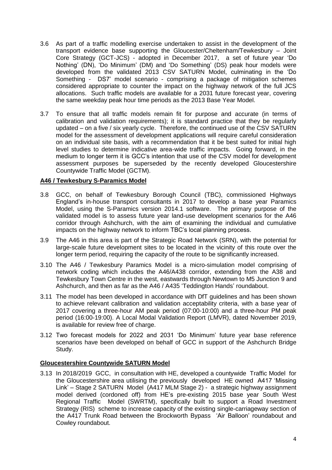- 3.6 As part of a traffic modelling exercise undertaken to assist in the development of the transport evidence base supporting the Gloucester/Cheltenham/Tewkesbury – Joint Core Strategy (GCT-JCS) - adopted in December 2017, a set of future year 'Do Nothing' (DN), 'Do Minimum' (DM) and 'Do Something' (DS) peak hour models were developed from the validated 2013 CSV SATURN Model, culminating in the 'Do Something - DS7' model scenario - comprising a package of mitigation schemes considered appropriate to counter the impact on the highway network of the full JCS allocations. Such traffic models are available for a 2031 future forecast year, covering the same weekday peak hour time periods as the 2013 Base Year Model.
- 3.7 To ensure that all traffic models remain fit for purpose and accurate (in terms of calibration and validation requirements); it is standard practice that they be regularly updated – on a five / six yearly cycle. Therefore, the continued use of the CSV SATURN model for the assessment of development applications will require careful consideration on an individual site basis, with a recommendation that it be best suited for initial high level studies to determine indicative area-wide traffic impacts. Going forward, in the medium to longer term it is GCC's intention that use of the CSV model for development assessment purposes be superseded by the recently developed Gloucestershire Countywide Traffic Model (GCTM).

# **A46 / Tewkesbury S-Paramics Model**

- 3.8 GCC, on behalf of Tewkesbury Borough Council (TBC), commissioned Highways England's in-house transport consultants in 2017 to develop a base year Paramics Model, using the S-Paramics version 2014.1 software. The primary purpose of the validated model is to assess future year land-use development scenarios for the A46 corridor through Ashchurch, with the aim of examining the individual and cumulative impacts on the highway network to inform TBC's local planning process.
- 3.9 The A46 in this area is part of the Strategic Road Network (SRN), with the potential for large-scale future development sites to be located in the vicinity of this route over the longer term period, requiring the capacity of the route to be significantly increased.
- 3.10 The A46 / Tewkesbury Paramics Model is a micro-simulation model comprising of network coding which includes the A46/A438 corridor, extending from the A38 and Tewkesbury Town Centre in the west, eastwards through Newtown to M5 Junction 9 and Ashchurch, and then as far as the A46 / A435 'Teddington Hands' roundabout.
- 3.11 The model has been developed in accordance with DfT guidelines and has been shown to achieve relevant calibration and validation acceptability criteria, with a base year of 2017 covering a three-hour AM peak period (07:00-10:00) and a three-hour PM peak period (16:00-19:00). A Local Modal Validation Report (LMVR), dated November 2019, is available for review free of charge.
- 3.12 Two forecast models for 2022 and 2031 'Do Minimum' future year base reference scenarios have been developed on behalf of GCC in support of the Ashchurch Bridge Study.

# **Gloucestershire Countywide SATURN Model**

3.13 In 2018/2019 GCC, in consultation with HE, developed a countywide Traffic Model for the Gloucestershire area utilising the previously developed HE owned A417 'Missing Link' – Stage 2 SATURN Model (A417 MLM Stage 2) - a strategic highway assignment model derived (cordoned off) from HE's pre-existing 2015 base year South West Regional Traffic Model (SWRTM), specifically built to support a Road Investment Strategy (RIS) scheme to increase capacity of the existing single-carriageway section of the A417 Trunk Road between the Brockworth Bypass 'Air Balloon' roundabout and Cowley roundabout.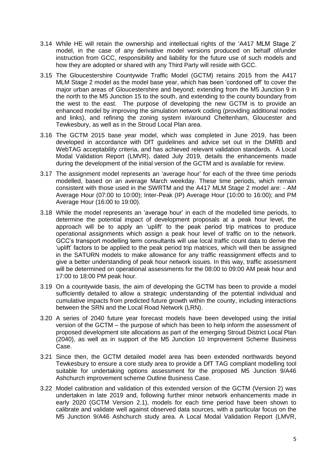- 3.14 While HE will retain the ownership and intellectual rights of the 'A417 MLM Stage 2' model, in the case of any derivative model versions produced on behalf of/under instruction from GCC, responsibility and liability for the future use of such models and how they are adopted or shared with any Third Party will reside with GCC.
- 3.15 The Gloucestershire Countywide Traffic Model (GCTM) retains 2015 from the A417 MLM Stage 2 model as the model base year, which has been 'cordoned off' to cover the major urban areas of Gloucestershire and beyond; extending from the M5 Junction 9 in the north to the M5 Junction 15 to the south, and extending to the county boundary from the west to the east. The purpose of developing the new GCTM is to provide an enhanced model by improving the simulation network coding (providing additional nodes and links), and refining the zoning system in/around Cheltenham, Gloucester and Tewkesbury, as well as in the Stroud Local Plan area.
- 3.16 The GCTM 2015 base year model, which was completed in June 2019, has been developed in accordance with DfT guidelines and advice set out in the DMRB and WebTAG acceptability criteria, and has achieved relevant validation standards. A Local Modal Validation Report (LMVR), dated July 2019, details the enhancements made during the development of the initial version of the GCTM and is available for review.
- 3.17 The assignment model represents an 'average hour' for each of the three time periods modelled, based on an average March weekday. These time periods, which remain consistent with those used in the SWRTM and the A417 MLM Stage 2 model are: - AM Average Hour (07:00 to 10:00); Inter-Peak (IP) Average Hour (10:00 to 16:00); and PM Average Hour (16:00 to 19:00).
- 3.18 While the model represents an 'average hour' in each of the modelled time periods, to determine the potential impact of development proposals at a peak hour level, the approach will be to apply an 'uplift' to the peak period trip matrices to produce operational assignments which assign a peak hour level of traffic on to the network. GCC's transport modelling term consultants will use local traffic count data to derive the 'uplift' factors to be applied to the peak period trip matrices, which will then be assigned in the SATURN models to make allowance for any traffic reassignment effects and to give a better understanding of peak hour network issues. In this way, traffic assessment will be determined on operational assessments for the 08:00 to 09:00 AM peak hour and 17:00 to 18:00 PM peak hour.
- 3.19 On a countywide basis, the aim of developing the GCTM has been to provide a model sufficiently detailed to allow a strategic understanding of the potential individual and cumulative impacts from predicted future growth within the county, including interactions between the SRN and the Local Road Network (LRN).
- 3.20 A series of 2040 future year forecast models have been developed using the initial version of the GCTM – the purpose of which has been to help inform the assessment of proposed development site allocations as part of the emerging Stroud District Local Plan (2040), as well as in support of the M5 Junction 10 Improvement Scheme Business Case.
- 3.21 Since then, the GCTM detailed model area has been extended northwards beyond Tewkesbury to ensure a core study area to provide a DfT TAG compliant modelling tool suitable for undertaking options assessment for the proposed M5 Junction 9/A46 Ashchurch improvement scheme Outline Business Case.
- 3.22 Model calibration and validation of this extended version of the GCTM (Version 2) was undertaken in late 2019 and, following further minor network enhancements made in early 2020 (GCTM Version 2.1), models for each time period have been shown to calibrate and validate well against observed data sources, with a particular focus on the M5 Junction 9/A46 Ashchurch study area. A Local Modal Validation Report (LMVR,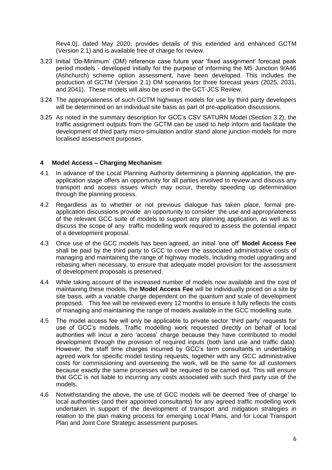Rev4.0), dated May 2020, provides details of this extended and enhanced GCTM (Version 2.1) and is available free of charge for review.

- 3.23 Initial 'Do-Minimum' (DM) reference case future year 'fixed assignment' forecast peak period models - developed initially for the purpose of informing the M5 Junction 9/A46 (Ashchurch) scheme option assessment, have been developed. This includes the production of GCTM (Version 2.1) DM scenarios for three forecast years (2025, 2031, and 2041). These models will also be used in the GCT-JCS Review.
- 3.24 The appropriateness of such GCTM highways models for use by third party developers will be determined on an individual site basis as part of pre-application discussions.
- 3.25 As noted in the summary description for GCC's CSV SATURN Model (Section 3.2), the traffic assignment outputs from the GCTM can be used to help inform and facilitate the development of third party micro-simulation and/or stand alone junction models for more localised assessment purposes.

#### **4 Model Access – Charging Mechanism**

- 4.1 In advance of the Local Planning Authority determining a planning application, the preapplication stage offers an opportunity for all parties involved to review and discuss any transport and access issues which may occur, thereby speeding up determination through the planning process.
- 4.2 Regardless as to whether or not previous dialogue has taken place, formal preapplication discussions provide an opportunity to consider the use and appropriateness of the relevant GCC suite of models to support any planning application, as well as to discuss the scope of any traffic modelling work required to assess the potential impact of a development proposal.
- 4.3 Once use of the GCC models has been agreed, an initial 'one off' **Model Access Fee** shall be paid by the third party to GCC to cover the associated administrative costs of managing and maintaining the range of highway models, including model upgrading and rebasing when necessary, to ensure that adequate model provision for the assessment of development proposals is preserved.
- 4.4 While taking account of the increased number of models now available and the cost of maintaining these models, the **Model Access Fee** will be individually priced on a site by site basis, with a variable charge dependent on the quantum and scale of development proposed. This fee will be reviewed every 12 months to ensure it fully reflects the costs of managing and maintaining the range of models available in the GCC modelling suite.
- 4.5 The model access fee will only be applicable to private sector 'third party' requests for use of GCC's models. Traffic modelling work requested directly on behalf of local authorities will incur a zero 'access' charge because they have contributed to model development through the provision of required inputs (both land use and traffic data). However, the staff time charges incurred by GCC's term consultants in undertaking agreed work for specific model testing requests, together with any GCC administrative costs for commissioning and overseeing the work, will be the same for all customers because exactly the same processes will be required to be carried out. This will ensure that GCC is not liable to incurring any costs associated with such third party use of the models.
- 4.6 Notwithstanding the above, the use of GCC models will be deemed 'free of charge' to local authorities (and their appointed consultants) for any agreed traffic modelling work undertaken in support of the development of transport and mitigation strategies in relation to the plan making process for emerging Local Plans, and for Local Transport Plan and Joint Core Strategic assessment purposes.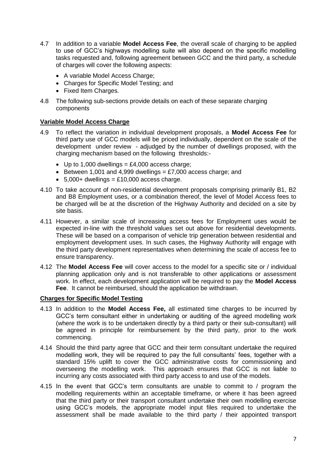- 4.7 In addition to a variable **Model Access Fee**, the overall scale of charging to be applied to use of GCC's highways modelling suite will also depend on the specific modelling tasks requested and, following agreement between GCC and the third party, a schedule of charges will cover the following aspects:
	- A variable Model Access Charge;
	- Charges for Specific Model Testing; and
	- Fixed Item Charges.
- 4.8 The following sub-sections provide details on each of these separate charging components

### **Variable Model Access Charge**

- 4.9 To reflect the variation in individual development proposals, a **Model Access Fee** for third party use of GCC models will be priced individually, dependent on the scale of the development under review - adjudged by the number of dwellings proposed, with the charging mechanism based on the following thresholds:-
	- $\bullet$  Up to 1,000 dwellings = £4,000 access charge;
	- Between 1,001 and 4,999 dwellings =  $£7,000$  access charge; and
	- $\cdot$  5,000+ dwellings = £10,000 access charge.
- 4.10 To take account of non-residential development proposals comprising primarily B1, B2 and B8 Employment uses, or a combination thereof, the level of Model Access fees to be charged will be at the discretion of the Highway Authority and decided on a site by site basis.
- 4.11 However, a similar scale of increasing access fees for Employment uses would be expected in-line with the threshold values set out above for residential developments. These will be based on a comparison of vehicle trip generation between residential and employment development uses. In such cases, the Highway Authority will engage with the third party development representatives when determining the scale of access fee to ensure transparency.
- 4.12 The **Model Access Fee** will cover access to the model for a specific site or / individual planning application only and is not transferable to other applications or assessment work. In effect, each development application will be required to pay the **Model Access Fee**. It cannot be reimbursed, should the application be withdrawn.

#### **Charges for Specific Model Testing**

- 4.13 In addition to the **Model Access Fee,** all estimated time charges to be incurred by GCC's term consultant either in undertaking or auditing of the agreed modelling work (where the work is to be undertaken directly by a third party or their sub-consultant) will be agreed in principle for reimbursement by the third party, prior to the work commencing.
- 4.14 Should the third party agree that GCC and their term consultant undertake the required modelling work, they will be required to pay the full consultants' fees, together with a standard 15% uplift to cover the GCC administrative costs for commissioning and overseeing the modelling work. This approach ensures that GCC is not liable to incurring any costs associated with third party access to and use of the models.
- 4.15 In the event that GCC's term consultants are unable to commit to / program the modelling requirements within an acceptable timeframe, or where it has been agreed that the third party or their transport consultant undertake their own modelling exercise using GCC's models, the appropriate model input files required to undertake the assessment shall be made available to the third party / their appointed transport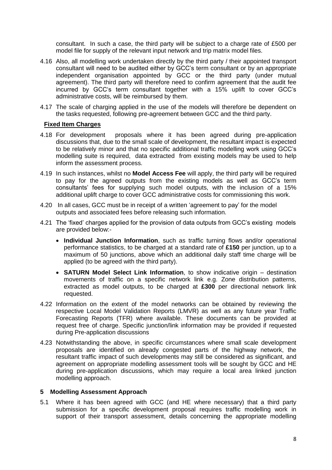consultant. In such a case, the third party will be subject to a charge rate of £500 per model file for supply of the relevant input network and trip matrix model files.

- 4.16 Also, all modelling work undertaken directly by the third party / their appointed transport consultant will need to be audited either by GCC's term consultant or by an appropriate independent organisation appointed by GCC or the third party (under mutual agreement). The third party will therefore need to confirm agreement that the audit fee incurred by GCC's term consultant together with a 15% uplift to cover GCC's administrative costs, will be reimbursed by them.
- 4.17 The scale of charging applied in the use of the models will therefore be dependent on the tasks requested, following pre-agreement between GCC and the third party.

# **Fixed Item Charges**

- 4.18 For development proposals where it has been agreed during pre-application discussions that, due to the small scale of development, the resultant impact is expected to be relatively minor and that no specific additional traffic modelling work using GCC's modelling suite is required, data extracted from existing models may be used to help inform the assessment process.
- 4.19 In such instances, whilst no **Model Access Fee** will apply, the third party will be required to pay for the agreed outputs from the existing models as well as GCC's term consultants' fees for supplying such model outputs, with the inclusion of a 15% additional uplift charge to cover GCC administrative costs for commissioning this work.
- 4.20 In all cases, GCC must be in receipt of a written 'agreement to pay' for the model outputs and associated fees before releasing such information.
- 4.21 The 'fixed' charges applied for the provision of data outputs from GCC's existing models are provided below:-
	- **Individual Junction Information**, such as traffic turning flows and/or operational performance statistics, to be charged at a standard rate of **£150** per junction, up to a maximum of 50 junctions, above which an additional daily staff time charge will be applied (to be agreed with the third party).
	- **SATURN Model Select Link Information**, to show indicative origin destination movements of traffic on a specific network link e.g. Zone distribution patterns, extracted as model outputs, to be charged at **£300** per directional network link requested.
- 4.22 Information on the extent of the model networks can be obtained by reviewing the respective Local Model Validation Reports (LMVR) as well as any future year Traffic Forecasting Reports (TFR) where available. These documents can be provided at request free of charge. Specific junction/link information may be provided if requested during Pre-application discussions
- 4.23 Notwithstanding the above, in specific circumstances where small scale development proposals are identified on already congested parts of the highway network, the resultant traffic impact of such developments may still be considered as significant, and agreement on appropriate modelling assessment tools will be sought by GCC and HE during pre-application discussions, which may require a local area linked junction modelling approach.

#### **5 Modelling Assessment Approach**

5.1 Where it has been agreed with GCC (and HE where necessary) that a third party submission for a specific development proposal requires traffic modelling work in support of their transport assessment, details concerning the appropriate modelling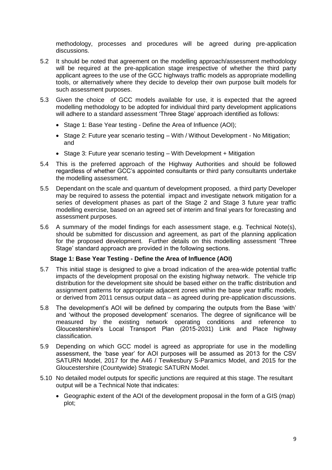methodology, processes and procedures will be agreed during pre-application discussions.

- 5.2 It should be noted that agreement on the modelling approach/assessment methodology will be required at the pre-application stage irrespective of whether the third party applicant agrees to the use of the GCC highways traffic models as appropriate modelling tools, or alternatively where they decide to develop their own purpose built models for such assessment purposes.
- 5.3 Given the choice of GCC models available for use, it is expected that the agreed modelling methodology to be adopted for individual third party development applications will adhere to a standard assessment 'Three Stage' approach identified as follows:
	- Stage 1: Base Year testing Define the Area of Influence (AOI);
	- Stage 2: Future year scenario testing With / Without Development No Mitigation; and
	- Stage 3: Future year scenario testing With Development + Mitigation
- 5.4 This is the preferred approach of the Highway Authorities and should be followed regardless of whether GCC's appointed consultants or third party consultants undertake the modelling assessment.
- 5.5 Dependant on the scale and quantum of development proposed, a third party Developer may be required to assess the potential impact and investigate network mitigation for a series of development phases as part of the Stage 2 and Stage 3 future year traffic modelling exercise, based on an agreed set of interim and final years for forecasting and assessment purposes.
- 5.6 A summary of the model findings for each assessment stage, e.g. Technical Note(s), should be submitted for discussion and agreement, as part of the planning application for the proposed development. Further details on this modelling assessment 'Three Stage' standard approach are provided in the following sections.

# **Stage 1: Base Year Testing - Define the Area of Influence (AOI)**

- 5.7 This initial stage is designed to give a broad indication of the area-wide potential traffic impacts of the development proposal on the existing highway network. The vehicle trip distribution for the development site should be based either on the traffic distribution and assignment patterns for appropriate adjacent zones within the base year traffic models, or derived from 2011 census output data – as agreed during pre-application discussions.
- 5.8 The development's AOI will be defined by comparing the outputs from the Base 'with' and 'without the proposed development' scenarios. The degree of significance will be measured by the existing network operating conditions and reference to Gloucestershire's Local Transport Plan (2015-2031) Link and Place highway classification.
- 5.9 Depending on which GCC model is agreed as appropriate for use in the modelling assessment, the 'base year' for AOI purposes will be assumed as 2013 for the CSV SATURN Model, 2017 for the A46 / Tewkesbury S-Paramics Model, and 2015 for the Gloucestershire (Countywide) Strategic SATURN Model.
- 5.10 No detailed model outputs for specific junctions are required at this stage. The resultant output will be a Technical Note that indicates:
	- Geographic extent of the AOI of the development proposal in the form of a GIS (map) plot;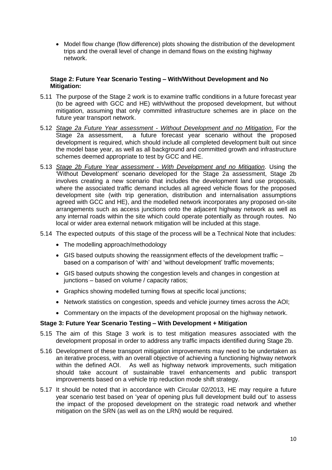• Model flow change (flow difference) plots showing the distribution of the development trips and the overall level of change in demand flows on the existing highway network.

## **Stage 2: Future Year Scenario Testing – With/Without Development and No Mitigation:**

- 5.11 The purpose of the Stage 2 work is to examine traffic conditions in a future forecast year (to be agreed with GCC and HE) with/without the proposed development, but without mitigation, assuming that only committed infrastructure schemes are in place on the future year transport network.
- 5.12 *Stage 2a Future Year assessment - Without Development and no Mitigation*. For the Stage 2a assessment, a future forecast year scenario without the proposed development is required, which should include all completed development built out since the model base year, as well as all background and committed growth and infrastructure schemes deemed appropriate to test by GCC and HE.
- 5.13 *Stage 2b Future Year assessment - With Development and no Mitigation*. Using the 'Without Development' scenario developed for the Stage 2a assessment, Stage 2b involves creating a new scenario that includes the development land use proposals, where the associated traffic demand includes all agreed vehicle flows for the proposed development site (with trip generation, distribution and internalisation assumptions agreed with GCC and HE), and the modelled network incorporates any proposed on-site arrangements such as access junctions onto the adjacent highway network as well as any internal roads within the site which could operate potentially as through routes. No local or wider area external network mitigation will be included at this stage.
- 5.14 The expected outputs of this stage of the process will be a Technical Note that includes:
	- The modelling approach/methodology
	- $\bullet$  GIS based outputs showing the reassignment effects of the development traffic  $$ based on a comparison of 'with' and 'without development' traffic movements;
	- GIS based outputs showing the congestion levels and changes in congestion at junctions – based on volume / capacity ratios;
	- Graphics showing modelled turning flows at specific local junctions;
	- Network statistics on congestion, speeds and vehicle journey times across the AOI;
	- Commentary on the impacts of the development proposal on the highway network.

## **Stage 3: Future Year Scenario Testing – With Development + Mitigation**

- 5.15 The aim of this Stage 3 work is to test mitigation measures associated with the development proposal in order to address any traffic impacts identified during Stage 2b.
- 5.16 Development of these transport mitigation improvements may need to be undertaken as an iterative process, with an overall objective of achieving a functioning highway network within the defined AOI. As well as highway network improvements, such mitigation should take account of sustainable travel enhancements and public transport improvements based on a vehicle trip reduction mode shift strategy.
- 5.17 It should be noted that in accordance with Circular 02/2013, HE may require a future year scenario test based on 'year of opening plus full development build out' to assess the impact of the proposed development on the strategic road network and whether mitigation on the SRN (as well as on the LRN) would be required.